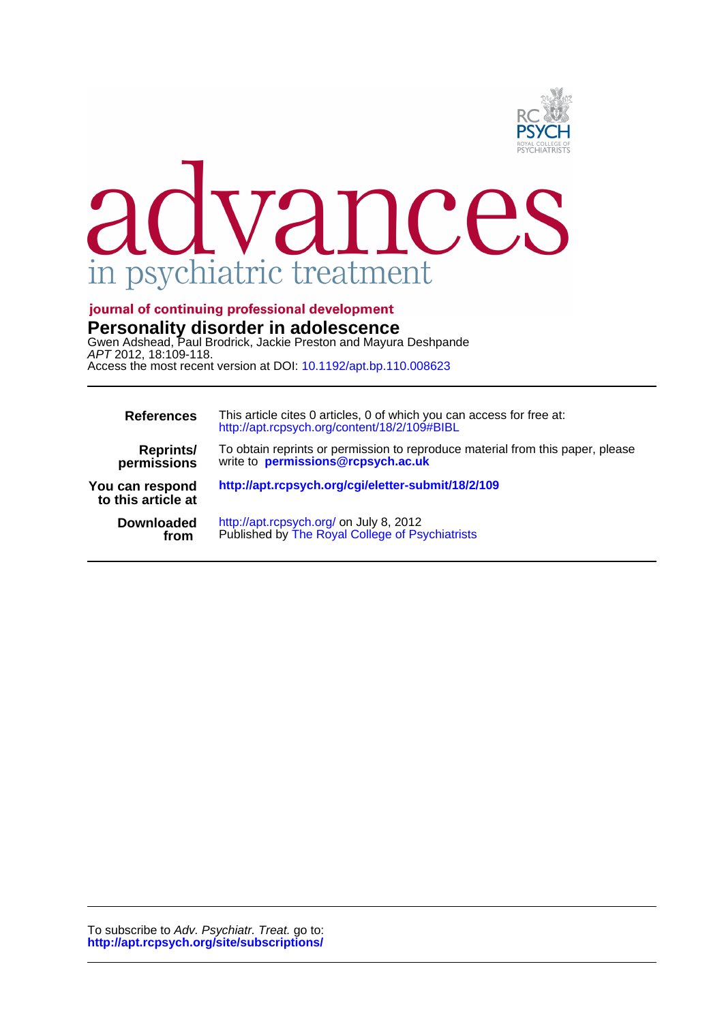

# advances in psychiatric treatment

journal of continuing professional development

# **Personality disorder in adolescence**

Access the most recent version at DOI: 10.1192/apt.bp.110.008623 APT 2012, 18:109-118. Gwen Adshead, Paul Brodrick, Jackie Preston and Mayura Deshpande

| <b>References</b>                     | This article cites 0 articles, 0 of which you can access for free at:<br>http://apt.rcpsych.org/content/18/2/109#BIBL |  |  |
|---------------------------------------|-----------------------------------------------------------------------------------------------------------------------|--|--|
| <b>Reprints/</b>                      | To obtain reprints or permission to reproduce material from this paper, please                                        |  |  |
| permissions                           | write to <b>permissions@rcpsych.ac.uk</b>                                                                             |  |  |
| You can respond<br>to this article at | http://apt.rcpsych.org/cgi/eletter-submit/18/2/109                                                                    |  |  |
| <b>Downloaded</b>                     | http://apt.rcpsych.org/ on July 8, 2012                                                                               |  |  |
| from                                  | Published by The Royal College of Psychiatrists                                                                       |  |  |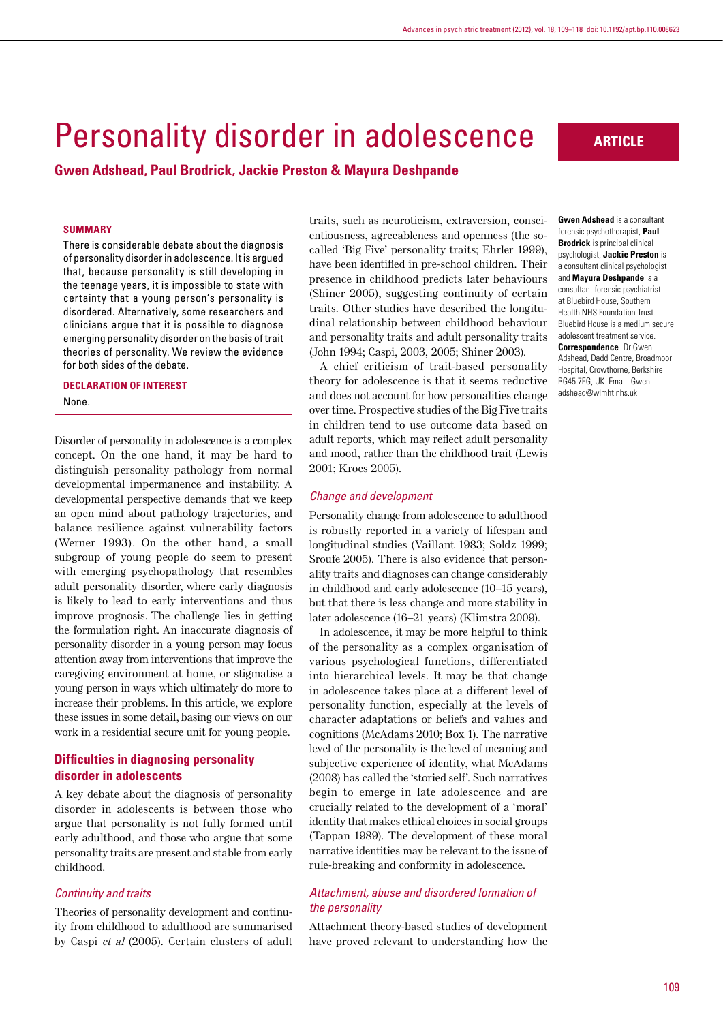# Personality disorder in adolescence

# **ARTICLE**

**Gwen Adshead, Paul Brodrick, Jackie Preston & Mayura Deshpande**

# **Summary**

There is considerable debate about the diagnosis of personality disorder in adolescence. It is argued that, because personality is still developing in the teenage years, it is impossible to state with certainty that a young person's personality is disordered. Alternatively, some researchers and clinicians argue that it is possible to diagnose emerging personality disorder on the basis of trait theories of personality. We review the evidence for both sides of the debate.

# **Declaration of interest** None.

Disorder of personality in adolescence is a complex concept. On the one hand, it may be hard to distinguish personality pathology from normal developmental impermanence and instability. A developmental perspective demands that we keep an open mind about pathology trajectories, and balance resilience against vulnerability factors (Werner 1993). On the other hand, a small subgroup of young people do seem to present with emerging psychopathology that resembles adult personality disorder, where early diagnosis is likely to lead to early interventions and thus improve prognosis. The challenge lies in getting the formulation right. An inaccurate diagnosis of personality disorder in a young person may focus attention away from interventions that improve the caregiving environment at home, or stigmatise a young person in ways which ultimately do more to increase their problems. In this article, we explore these issues in some detail, basing our views on our work in a residential secure unit for young people.

# **Difficulties in diagnosing personality disorder in adolescents**

A key debate about the diagnosis of personality disorder in adolescents is between those who argue that personality is not fully formed until early adulthood, and those who argue that some personality traits are present and stable from early childhood.

# *Continuity and traits*

Theories of personality development and continuity from childhood to adulthood are summarised by Caspi et al (2005). Certain clusters of adult

traits, such as neuroticism, extraversion, conscientiousness, agreeableness and openness (the socalled 'Big Five' personality traits; Ehrler 1999), have been identified in pre-school children. Their presence in childhood predicts later behaviours (Shiner 2005), suggesting continuity of certain traits. Other studies have described the longitudinal relationship between childhood behaviour and personality traits and adult personality traits (John 1994; Caspi, 2003, 2005; Shiner 2003).

A chief criticism of trait-based personality theory for adolescence is that it seems reductive and does not account for how personalities change over time. Prospective studies of the Big Five traits in children tend to use outcome data based on adult reports, which may reflect adult personality and mood, rather than the childhood trait (Lewis 2001; Kroes 2005).

# *Change and development*

Personality change from adolescence to adulthood is robustly reported in a variety of lifespan and longitudinal studies (Vaillant 1983; Soldz 1999; Sroufe 2005). There is also evidence that personality traits and diagnoses can change considerably in childhood and early adolescence (10–15 years), but that there is less change and more stability in later adolescence (16–21 years) (Klimstra 2009).

In adolescence, it may be more helpful to think of the personality as a complex organisation of various psychological functions, differentiated into hierarchical levels. It may be that change in adolescence takes place at a different level of personality function, especially at the levels of character adaptations or beliefs and values and cognitions (McAdams 2010; Box 1). The narrative level of the personality is the level of meaning and subjective experience of identity, what McAdams (2008) has called the 'storied self'. Such narratives begin to emerge in late adolescence and are crucially related to the development of a 'moral' identity that makes ethical choices in social groups (Tappan 1989). The development of these moral narrative identities may be relevant to the issue of rule-breaking and conformity in adolescence.

# *Attachment, abuse and disordered formation of the personality*

Attachment theory-based studies of development have proved relevant to understanding how the

**Gwen Adshead** is a consultant forensic psychotherapist, **Paul Brodrick** is principal clinical psychologist, **Jackie Preston** is a consultant clinical psychologist and **Mayura Deshpande** is a consultant forensic psychiatrist at Bluebird House, Southern Health NHS Foundation Trust. Bluebird House is a medium secure adolescent treatment service. **Correspondence** Dr Gwen Adshead, Dadd Centre, Broadmoor Hospital, Crowthorne, Berkshire RG45 7EG, UK. Email: Gwen. adshead@wlmht.nhs.uk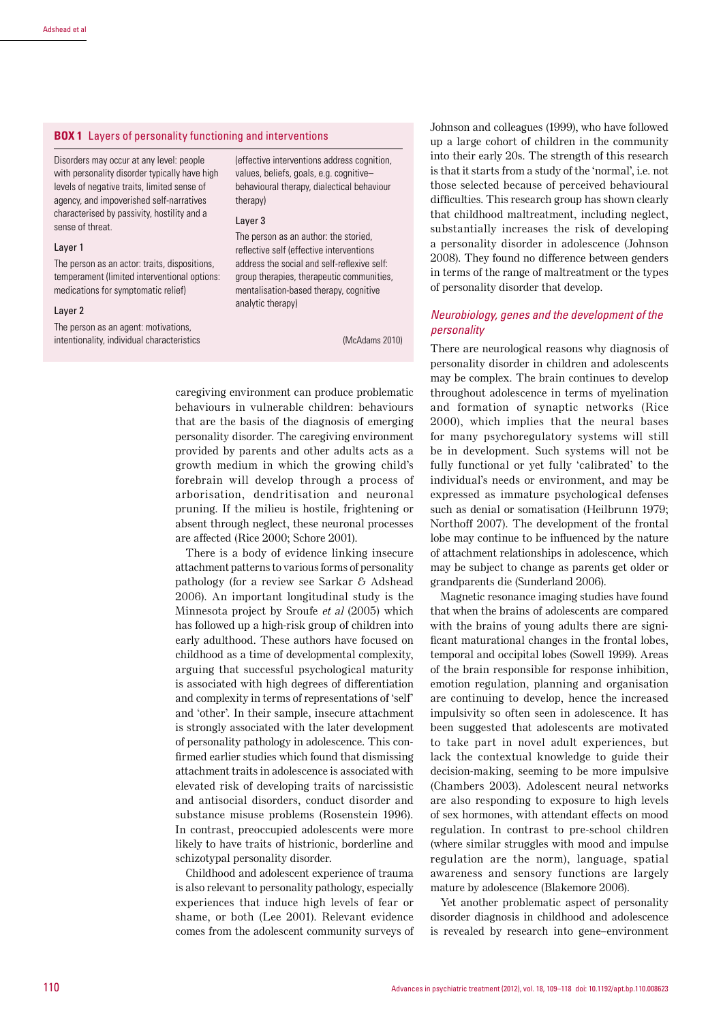#### **Box 1** Layers of personality functioning and interventions

Disorders may occur at any level: people with personality disorder typically have high levels of negative traits, limited sense of agency, and impoverished self-narratives characterised by passivity, hostility and a sense of threat.

#### Layer 1

The person as an actor: traits, dispositions, temperament (limited interventional options: medications for symptomatic relief)

#### Layer 2

The person as an agent: motivations, intentionality, individual characteristics (effective interventions address cognition, values, beliefs, goals, e.g. cognitive– behavioural therapy, dialectical behaviour therapy)

#### Layer 3

The person as an author: the storied, reflective self (effective interventions address the social and self-reflexive self: group therapies, therapeutic communities, mentalisation-based therapy, cognitive analytic therapy)

(McAdams 2010)

caregiving environment can produce problematic behaviours in vulnerable children: behaviours that are the basis of the diagnosis of emerging personality disorder. The caregiving environment provided by parents and other adults acts as a growth medium in which the growing child's forebrain will develop through a process of arborisation, dendritisation and neuronal pruning. If the milieu is hostile, frightening or absent through neglect, these neuronal processes are affected (Rice 2000; Schore 2001).

There is a body of evidence linking insecure attachment patterns to various forms of personality pathology (for a review see Sarkar & Adshead 2006). An important longitudinal study is the Minnesota project by Sroufe et al (2005) which has followed up a high-risk group of children into early adulthood. These authors have focused on childhood as a time of developmental complexity, arguing that successful psychological maturity is associated with high degrees of differentiation and complexity in terms of representations of 'self' and 'other'. In their sample, insecure attachment is strongly associated with the later development of personality pathology in adolescence. This confirmed earlier studies which found that dismissing attachment traits in adolescence is associated with elevated risk of developing traits of narcissistic and antisocial disorders, conduct disorder and substance misuse problems (Rosenstein 1996). In contrast, preoccupied adolescents were more likely to have traits of histrionic, borderline and schizotypal personality disorder.

Childhood and adolescent experience of trauma is also relevant to personality pathology, especially experiences that induce high levels of fear or shame, or both (Lee 2001). Relevant evidence comes from the adolescent community surveys of Johnson and colleagues (1999), who have followed up a large cohort of children in the community into their early 20s. The strength of this research is that it starts from a study of the 'normal', i.e. not those selected because of perceived behavioural difficulties. This research group has shown clearly that childhood maltreatment, including neglect, substantially increases the risk of developing a personality disorder in adolescence (Johnson 2008). They found no difference between genders in terms of the range of maltreatment or the types of personality disorder that develop.

# *Neurobiology, genes and the development of the personality*

There are neurological reasons why diagnosis of personality disorder in children and adolescents may be complex. The brain continues to develop throughout adolescence in terms of myelination and formation of synaptic networks (Rice 2000), which implies that the neural bases for many psychoregulatory systems will still be in development. Such systems will not be fully functional or yet fully 'calibrated' to the individual's needs or environment, and may be expressed as immature psychological defenses such as denial or somatisation (Heilbrunn 1979; Northoff 2007). The development of the frontal lobe may continue to be influenced by the nature of attachment relationships in adolescence, which may be subject to change as parents get older or grandparents die (Sunderland 2006).

Magnetic resonance imaging studies have found that when the brains of adolescents are compared with the brains of young adults there are significant maturational changes in the frontal lobes, temporal and occipital lobes (Sowell 1999). Areas of the brain responsible for response inhibition, emotion regulation, planning and organisation are continuing to develop, hence the increased impulsivity so often seen in adolescence. It has been suggested that adolescents are motivated to take part in novel adult experiences, but lack the contextual knowledge to guide their decision-making, seeming to be more impulsive (Chambers 2003). Adolescent neural networks are also responding to exposure to high levels of sex hormones, with attendant effects on mood regulation. In contrast to pre-school children (where similar struggles with mood and impulse regulation are the norm), language, spatial awareness and sensory functions are largely mature by adolescence (Blakemore 2006).

Yet another problematic aspect of personality disorder diagnosis in childhood and adolescence is revealed by research into gene–environment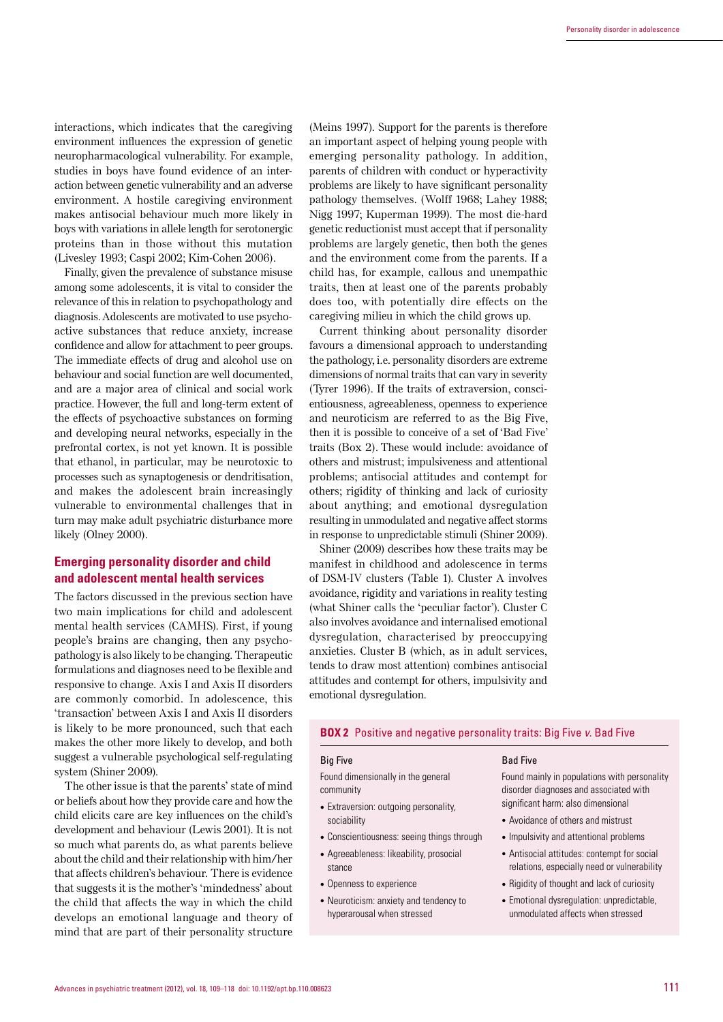interactions, which indicates that the caregiving environment influences the expression of genetic neuropharmacological vulnerability. For example, studies in boys have found evidence of an interaction between genetic vulnerability and an adverse environment. A hostile caregiving environment makes antisocial behaviour much more likely in boys with variations in allele length for serotonergic proteins than in those without this mutation (Livesley 1993; Caspi 2002; Kim-Cohen 2006).

Finally, given the prevalence of substance misuse among some adolescents, it is vital to consider the relevance of this in relation to psychopathology and diagnosis. Adolescents are motivated to use psychoactive substances that reduce anxiety, increase confidence and allow for attachment to peer groups. The immediate effects of drug and alcohol use on behaviour and social function are well documented, and are a major area of clinical and social work practice. However, the full and long-term extent of the effects of psychoactive substances on forming and developing neural networks, especially in the prefrontal cortex, is not yet known. It is possible that ethanol, in particular, may be neurotoxic to processes such as synaptogenesis or dendritisation, and makes the adolescent brain increasingly vulnerable to environmental challenges that in turn may make adult psychiatric disturbance more likely (Olney 2000).

# **Emerging personality disorder and child and adolescent mental health services**

The factors discussed in the previous section have two main implications for child and adolescent mental health services (CAMHS). First, if young people's brains are changing, then any psychopathology is also likely to be changing. Therapeutic formulations and diagnoses need to be flexible and responsive to change. Axis I and Axis II disorders are commonly comorbid. In adolescence, this 'transaction' between Axis I and Axis II disorders is likely to be more pronounced, such that each makes the other more likely to develop, and both suggest a vulnerable psychological self-regulating system (Shiner 2009).

The other issue is that the parents' state of mind or beliefs about how they provide care and how the child elicits care are key influences on the child's development and behaviour (Lewis 2001). It is not so much what parents do, as what parents believe about the child and their relationship with him/her that affects children's behaviour. There is evidence that suggests it is the mother's 'mindedness' about the child that affects the way in which the child develops an emotional language and theory of mind that are part of their personality structure (Meins 1997). Support for the parents is therefore an important aspect of helping young people with emerging personality pathology. In addition, parents of children with conduct or hyperactivity problems are likely to have significant personality pathology themselves. (Wolff 1968; Lahey 1988; Nigg 1997; Kuperman 1999). The most die-hard genetic reductionist must accept that if personality problems are largely genetic, then both the genes and the environment come from the parents. If a child has, for example, callous and unempathic traits, then at least one of the parents probably does too, with potentially dire effects on the caregiving milieu in which the child grows up.

Current thinking about personality disorder favours a dimensional approach to understanding the pathology, i.e. personality disorders are extreme dimensions of normal traits that can vary in severity (Tyrer 1996). If the traits of extraversion, conscientiousness, agreeableness, openness to experience and neuroticism are referred to as the Big Five, then it is possible to conceive of a set of 'Bad Five' traits (Box 2). These would include: avoidance of others and mistrust; impulsiveness and attentional problems; antisocial attitudes and contempt for others; rigidity of thinking and lack of curiosity about anything; and emotional dysregulation resulting in unmodulated and negative affect storms in response to unpredictable stimuli (Shiner 2009).

Shiner (2009) describes how these traits may be manifest in childhood and adolescence in terms of DSM-IV clusters (Table 1). Cluster A involves avoidance, rigidity and variations in reality testing (what Shiner calls the 'peculiar factor'). Cluster C also involves avoidance and internalised emotional dysregulation, characterised by preoccupying anxieties. Cluster B (which, as in adult services, tends to draw most attention) combines antisocial attitudes and contempt for others, impulsivity and emotional dysregulation.

#### **Box 2** Positive and negative personality traits: Big Five *v*. Bad Five

#### Big Five

Found dimensionally in the general community

- Extraversion: outgoing personality, sociability
- • Conscientiousness: seeing things through
- Agreeableness: likeability, prosocial stance
- • Openness to experience
- Neuroticism: anxiety and tendency to hyperarousal when stressed

#### Bad Five

Found mainly in populations with personality disorder diagnoses and associated with significant harm: also dimensional

- Avoidance of others and mistrust
- Impulsivity and attentional problems
- Antisocial attitudes: contempt for social relations, especially need or vulnerability
- Rigidity of thought and lack of curiosity
- Emotional dysregulation: unpredictable. unmodulated affects when stressed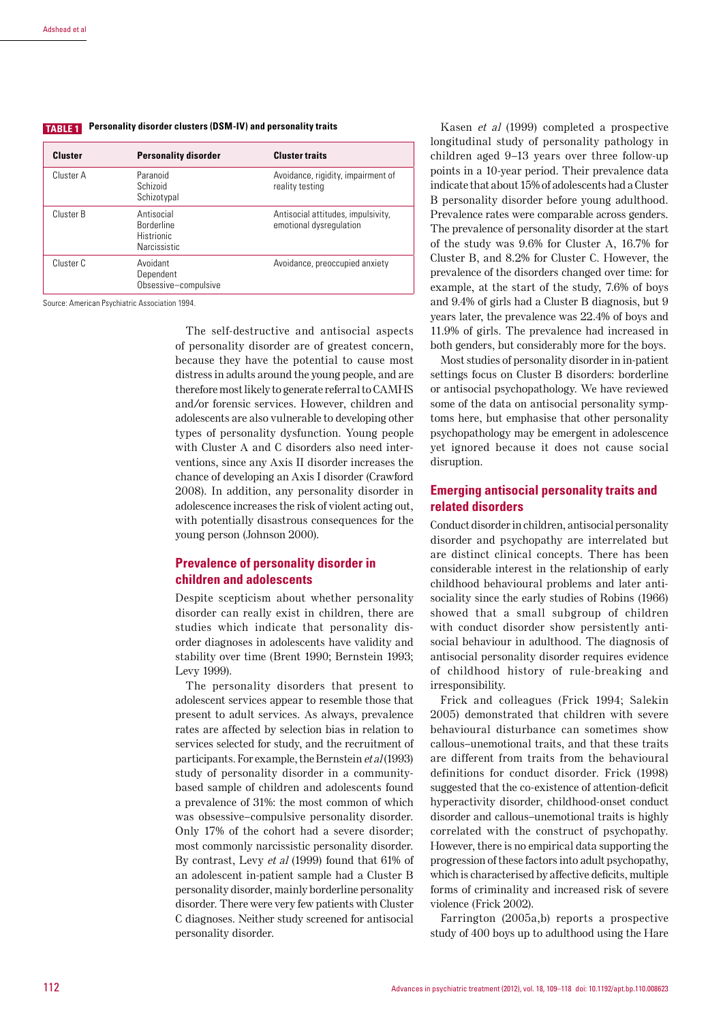**thable 1 Personality disorder clusters (DSM-IV) and personality traits** 

| Cluster   | <b>Personality disorder</b>                                          | <b>Cluster traits</b>                                         |
|-----------|----------------------------------------------------------------------|---------------------------------------------------------------|
| Cluster A | Paranoid<br>Schizoid<br>Schizotypal                                  | Avoidance, rigidity, impairment of<br>reality testing         |
| Cluster B | Antisocial<br><b>Borderline</b><br><b>Histrionic</b><br>Narcissistic | Antisocial attitudes, impulsivity,<br>emotional dysregulation |
| Cluster C | Avoidant<br>Dependent<br>Obsessive-compulsive                        | Avoidance, preoccupied anxiety                                |

Source: American Psychiatric Association 1994.

The self-destructive and antisocial aspects of personality disorder are of greatest concern, because they have the potential to cause most distress in adults around the young people, and are therefore most likely to generate referral to CAMHS and/or forensic services. However, children and adolescents are also vulnerable to developing other types of personality dysfunction. Young people with Cluster A and C disorders also need interventions, since any Axis II disorder increases the chance of developing an Axis I disorder (Crawford 2008). In addition, any personality disorder in adolescence increases the risk of violent acting out, with potentially disastrous consequences for the young person (Johnson 2000).

# **Prevalence of personality disorder in children and adolescents**

Despite scepticism about whether personality disorder can really exist in children, there are studies which indicate that personality disorder diagnoses in adolescents have validity and stability over time (Brent 1990; Bernstein 1993; Levy 1999).

The personality disorders that present to adolescent services appear to resemble those that present to adult services. As always, prevalence rates are affected by selection bias in relation to services selected for study, and the recruitment of participants. For example, the Bernstein et al (1993) study of personality disorder in a communitybased sample of children and adolescents found a prevalence of 31%: the most common of which was obsessive–compulsive personality disorder. Only 17% of the cohort had a severe disorder; most commonly narcissistic personality disorder. By contrast, Levy et al (1999) found that 61% of an adolescent in-patient sample had a Cluster B personality disorder, mainly borderline personality disorder. There were very few patients with Cluster C diagnoses. Neither study screened for antisocial personality disorder.

Kasen et al (1999) completed a prospective longitudinal study of personality pathology in children aged 9–13 years over three follow-up points in a 10-year period. Their prevalence data indicate that about 15% of adolescents had a Cluster B personality disorder before young adulthood. Prevalence rates were comparable across genders. The prevalence of personality disorder at the start of the study was 9.6% for Cluster A, 16.7% for Cluster B, and 8.2% for Cluster C. However, the prevalence of the disorders changed over time: for example, at the start of the study, 7.6% of boys and 9.4% of girls had a Cluster B diagnosis, but 9 years later, the prevalence was 22.4% of boys and 11.9% of girls. The prevalence had increased in both genders, but considerably more for the boys.

Most studies of personality disorder in in-patient settings focus on Cluster B disorders: borderline or antisocial psychopathology. We have reviewed some of the data on antisocial personality symptoms here, but emphasise that other personality psychopathology may be emergent in adolescence yet ignored because it does not cause social disruption.

# **Emerging antisocial personality traits and related disorders**

Conduct disorder in children, antisocial personality disorder and psychopathy are interrelated but are distinct clinical concepts. There has been considerable interest in the relationship of early childhood behavioural problems and later antisociality since the early studies of Robins (1966) showed that a small subgroup of children with conduct disorder show persistently antisocial behaviour in adulthood. The diagnosis of antisocial personality disorder requires evidence of childhood history of rule-breaking and irresponsibility.

Frick and colleagues (Frick 1994; Salekin 2005) demonstrated that children with severe behavioural disturbance can sometimes show callous–unemotional traits, and that these traits are different from traits from the behavioural definitions for conduct disorder. Frick (1998) suggested that the co-existence of attention-deficit hyperactivity disorder, childhood-onset conduct disorder and callous–unemotional traits is highly correlated with the construct of psychopathy. However, there is no empirical data supporting the progression of these factors into adult psychopathy, which is characterised by affective deficits, multiple forms of criminality and increased risk of severe violence (Frick 2002).

Farrington (2005a,b) reports a prospective study of 400 boys up to adulthood using the Hare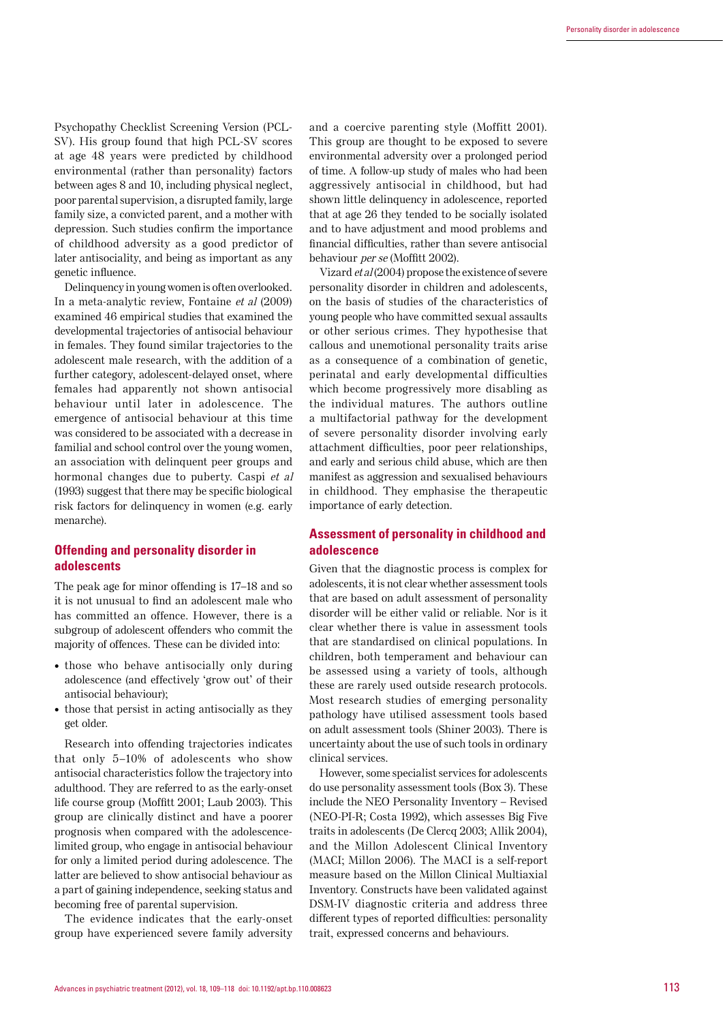Psychopathy Checklist Screening Version (PCL-SV). His group found that high PCL-SV scores at age 48 years were predicted by childhood environmental (rather than personality) factors between ages 8 and 10, including physical neglect, poor parental supervision, a disrupted family, large family size, a convicted parent, and a mother with depression. Such studies confirm the importance of childhood adversity as a good predictor of later antisociality, and being as important as any genetic influence.

Delinquency in young women is often overlooked. In a meta-analytic review, Fontaine et al (2009) examined 46 empirical studies that examined the developmental trajectories of antisocial behaviour in females. They found similar trajectories to the adolescent male research, with the addition of a further category, adolescent-delayed onset, where females had apparently not shown antisocial behaviour until later in adolescence. The emergence of antisocial behaviour at this time was considered to be associated with a decrease in familial and school control over the young women, an association with delinquent peer groups and hormonal changes due to puberty. Caspi et al (1993) suggest that there may be specific biological risk factors for delinquency in women (e.g. early menarche).

# **Offending and personality disorder in adolescents**

The peak age for minor offending is 17–18 and so it is not unusual to find an adolescent male who has committed an offence. However, there is a subgroup of adolescent offenders who commit the majority of offences. These can be divided into:

- those who behave antisocially only during adolescence (and effectively 'grow out' of their antisocial behaviour);
- those that persist in acting antisocially as they get older.

Research into offending trajectories indicates that only 5–10% of adolescents who show antisocial characteristics follow the trajectory into adulthood. They are referred to as the early-onset life course group (Moffitt 2001; Laub 2003). This group are clinically distinct and have a poorer prognosis when compared with the adolescencelimited group, who engage in antisocial behaviour for only a limited period during adolescence. The latter are believed to show antisocial behaviour as a part of gaining independence, seeking status and becoming free of parental supervision.

The evidence indicates that the early-onset group have experienced severe family adversity and a coercive parenting style (Moffitt 2001). This group are thought to be exposed to severe environmental adversity over a prolonged period of time. A follow-up study of males who had been aggressively antisocial in childhood, but had shown little delinquency in adolescence, reported that at age 26 they tended to be socially isolated and to have adjustment and mood problems and financial difficulties, rather than severe antisocial behaviour per se (Moffitt 2002).

Vizard et al (2004) propose the existence of severe personality disorder in children and adolescents, on the basis of studies of the characteristics of young people who have committed sexual assaults or other serious crimes. They hypothesise that callous and unemotional personality traits arise as a consequence of a combination of genetic, perinatal and early developmental difficulties which become progressively more disabling as the individual matures. The authors outline a multifactorial pathway for the development of severe personality disorder involving early attachment difficulties, poor peer relationships, and early and serious child abuse, which are then manifest as aggression and sexualised behaviours in childhood. They emphasise the therapeutic importance of early detection.

# **Assessment of personality in childhood and adolescence**

Given that the diagnostic process is complex for adolescents, it is not clear whether assessment tools that are based on adult assessment of personality disorder will be either valid or reliable. Nor is it clear whether there is value in assessment tools that are standardised on clinical populations. In children, both temperament and behaviour can be assessed using a variety of tools, although these are rarely used outside research protocols. Most research studies of emerging personality pathology have utilised assessment tools based on adult assessment tools (Shiner 2003). There is uncertainty about the use of such tools in ordinary clinical services.

However, some specialist services for adolescents do use personality assessment tools (Box 3). These include the NEO Personality Inventory – Revised (NEO-PI-R; Costa 1992), which assesses Big Five traits in adolescents (De Clercq 2003; Allik 2004), and the Millon Adolescent Clinical Inventory (MACI; Millon 2006). The MACI is a self-report measure based on the Millon Clinical Multiaxial Inventory. Constructs have been validated against DSM-IV diagnostic criteria and address three different types of reported difficulties: personality trait, expressed concerns and behaviours.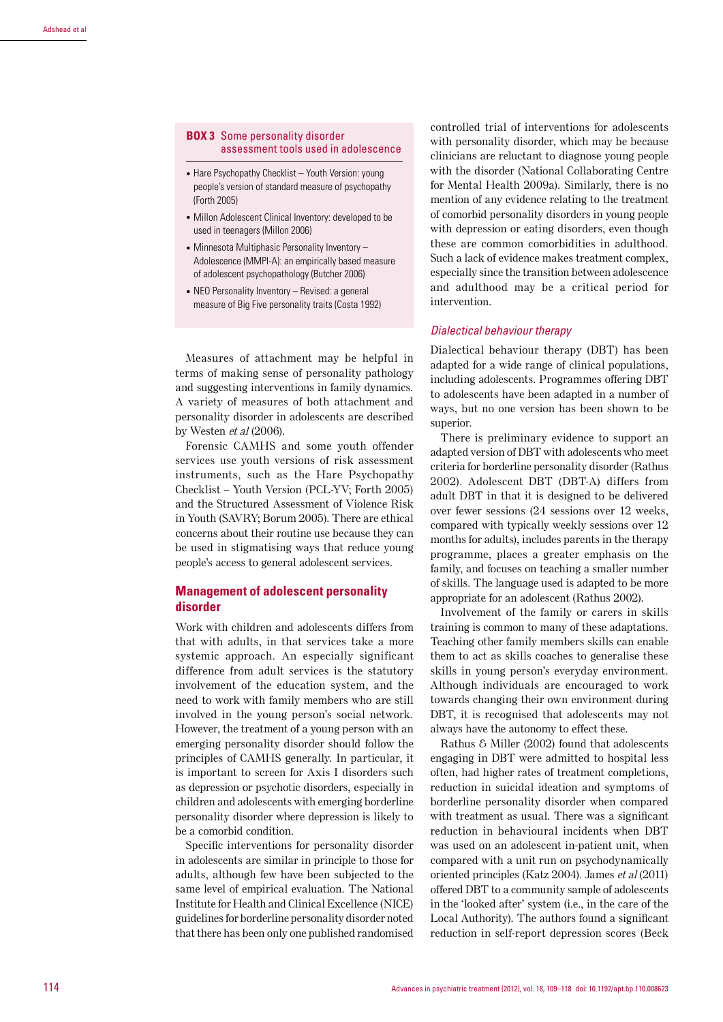#### **Box 3** Some personality disorder assessment tools used in adolescence

- Hare Psychopathy Checklist Youth Version: young people's version of standard measure of psychopathy (Forth 2005)
- • Millon Adolescent Clinical Inventory: developed to be used in teenagers (Millon 2006)
- Minnesota Multiphasic Personality Inventory Adolescence (MMPI-A): an empirically based measure of adolescent psychopathology (Butcher 2006)
- NEO Personality Inventory Revised: a general measure of Big Five personality traits (Costa 1992)

Measures of attachment may be helpful in terms of making sense of personality pathology and suggesting interventions in family dynamics. A variety of measures of both attachment and personality disorder in adolescents are described by Westen et al (2006).

Forensic CAMHS and some youth offender services use youth versions of risk assessment instruments, such as the Hare Psychopathy Checklist – Youth Version (PCL-YV; Forth 2005) and the Structured Assessment of Violence Risk in Youth (SAVRY; Borum 2005). There are ethical concerns about their routine use because they can be used in stigmatising ways that reduce young people's access to general adolescent services.

# **Management of adolescent personality disorder**

Work with children and adolescents differs from that with adults, in that services take a more systemic approach. An especially significant difference from adult services is the statutory involvement of the education system, and the need to work with family members who are still involved in the young person's social network. However, the treatment of a young person with an emerging personality disorder should follow the principles of CAMHS generally. In particular, it is important to screen for Axis I disorders such as depression or psychotic disorders, especially in children and adolescents with emerging borderline personality disorder where depression is likely to be a comorbid condition.

Specific interventions for personality disorder in adolescents are similar in principle to those for adults, although few have been subjected to the same level of empirical evaluation. The National Institute for Health and Clinical Excellence (NICE) guidelines for borderline personality disorder noted that there has been only one published randomised controlled trial of interventions for adolescents with personality disorder, which may be because clinicians are reluctant to diagnose young people with the disorder (National Collaborating Centre for Mental Health 2009a). Similarly, there is no mention of any evidence relating to the treatment of comorbid personality disorders in young people with depression or eating disorders, even though these are common comorbidities in adulthood. Such a lack of evidence makes treatment complex, especially since the transition between adolescence and adulthood may be a critical period for intervention.

# *Dialectical behaviour therapy*

Dialectical behaviour therapy (DBT) has been adapted for a wide range of clinical populations, including adolescents. Programmes offering DBT to adolescents have been adapted in a number of ways, but no one version has been shown to be superior.

There is preliminary evidence to support an adapted version of DBT with adolescents who meet criteria for borderline personality disorder (Rathus 2002). Adolescent DBT (DBT-A) differs from adult DBT in that it is designed to be delivered over fewer sessions (24 sessions over 12 weeks, compared with typically weekly sessions over 12 months for adults), includes parents in the therapy programme, places a greater emphasis on the family, and focuses on teaching a smaller number of skills. The language used is adapted to be more appropriate for an adolescent (Rathus 2002).

Involvement of the family or carers in skills training is common to many of these adaptations. Teaching other family members skills can enable them to act as skills coaches to generalise these skills in young person's everyday environment. Although individuals are encouraged to work towards changing their own environment during DBT, it is recognised that adolescents may not always have the autonomy to effect these.

Rathus & Miller (2002) found that adolescents engaging in DBT were admitted to hospital less often, had higher rates of treatment completions, reduction in suicidal ideation and symptoms of borderline personality disorder when compared with treatment as usual. There was a significant reduction in behavioural incidents when DBT was used on an adolescent in-patient unit, when compared with a unit run on psychodynamically oriented principles (Katz 2004). James et al (2011) offered DBT to a community sample of adolescents in the 'looked after' system (i.e., in the care of the Local Authority). The authors found a significant reduction in self-report depression scores (Beck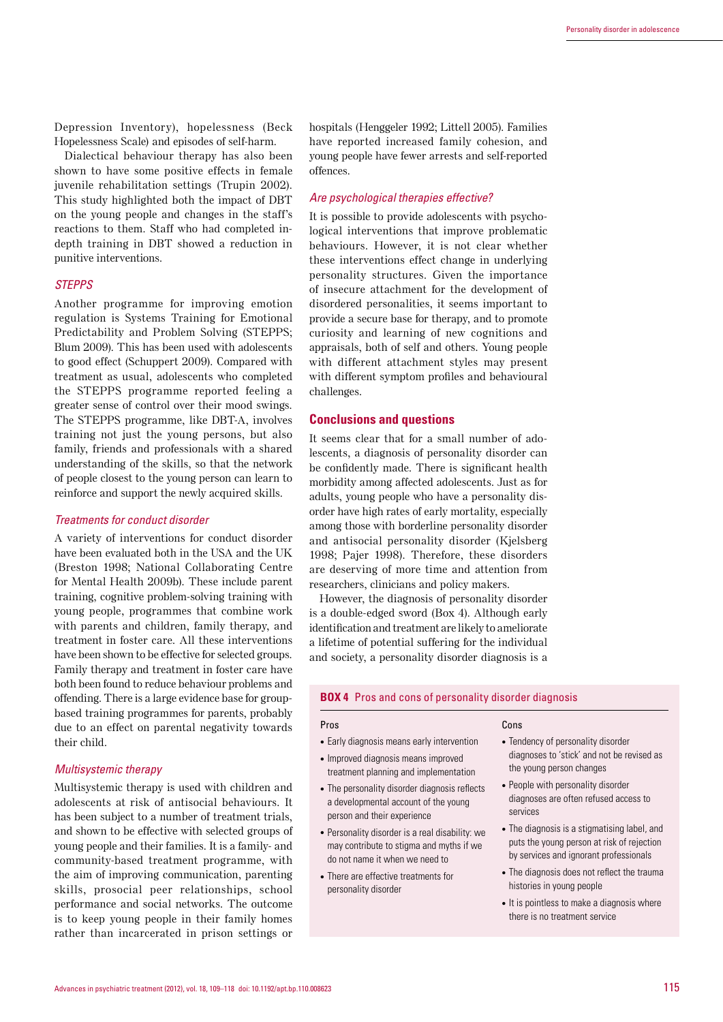Depression Inventory), hopelessness (Beck Hopelessness Scale) and episodes of self-harm.

Dialectical behaviour therapy has also been shown to have some positive effects in female juvenile rehabilitation settings (Trupin 2002). This study highlighted both the impact of DBT on the young people and changes in the staff's reactions to them. Staff who had completed indepth training in DBT showed a reduction in punitive interventions.

### *STEPPS*

Another programme for improving emotion regulation is Systems Training for Emotional Predictability and Problem Solving (STEPPS; Blum 2009). This has been used with adolescents to good effect (Schuppert 2009). Compared with treatment as usual, adolescents who completed the STEPPS programme reported feeling a greater sense of control over their mood swings. The STEPPS programme, like DBT-A, involves training not just the young persons, but also family, friends and professionals with a shared understanding of the skills, so that the network of people closest to the young person can learn to reinforce and support the newly acquired skills.

#### *Treatments for conduct disorder*

A variety of interventions for conduct disorder have been evaluated both in the USA and the UK (Breston 1998; National Collaborating Centre for Mental Health 2009b). These include parent training, cognitive problem-solving training with young people, programmes that combine work with parents and children, family therapy, and treatment in foster care. All these interventions have been shown to be effective for selected groups. Family therapy and treatment in foster care have both been found to reduce behaviour problems and offending. There is a large evidence base for groupbased training programmes for parents, probably due to an effect on parental negativity towards their child.

# *Multisystemic therapy*

Multisystemic therapy is used with children and adolescents at risk of antisocial behaviours. It has been subject to a number of treatment trials, and shown to be effective with selected groups of young people and their families. It is a family- and community-based treatment programme, with the aim of improving communication, parenting skills, prosocial peer relationships, school performance and social networks. The outcome is to keep young people in their family homes rather than incarcerated in prison settings or hospitals (Henggeler 1992; Littell 2005). Families have reported increased family cohesion, and young people have fewer arrests and self-reported offences.

# *Are psychological therapies effective?*

It is possible to provide adolescents with psychological interventions that improve problematic behaviours. However, it is not clear whether these interventions effect change in underlying personality structures. Given the importance of insecure attachment for the development of disordered personalities, it seems important to provide a secure base for therapy, and to promote curiosity and learning of new cognitions and appraisals, both of self and others. Young people with different attachment styles may present with different symptom profiles and behavioural challenges.

# **Conclusions and questions**

It seems clear that for a small number of adolescents, a diagnosis of personality disorder can be confidently made. There is significant health morbidity among affected adolescents. Just as for adults, young people who have a personality disorder have high rates of early mortality, especially among those with borderline personality disorder and antisocial personality disorder (Kjelsberg 1998; Pajer 1998). Therefore, these disorders are deserving of more time and attention from researchers, clinicians and policy makers.

However, the diagnosis of personality disorder is a double-edged sword (Box 4). Although early identification and treatment are likely to ameliorate a lifetime of potential suffering for the individual and society, a personality disorder diagnosis is a

#### **Box 4** Pros and cons of personality disorder diagnosis

# Pros

- Early diagnosis means early intervention
- Improved diagnosis means improved treatment planning and implementation
- The personality disorder diagnosis reflects a developmental account of the young person and their experience
- • Personality disorder is a real disability: we may contribute to stigma and myths if we do not name it when we need to
- There are effective treatments for personality disorder

### Cons

- Tendency of personality disorder diagnoses to 'stick' and not be revised as the young person changes
- People with personality disorder diagnoses are often refused access to services
- The diagnosis is a stigmatising label, and puts the young person at risk of rejection by services and ignorant professionals
- The diagnosis does not reflect the trauma histories in young people
- It is pointless to make a diagnosis where there is no treatment service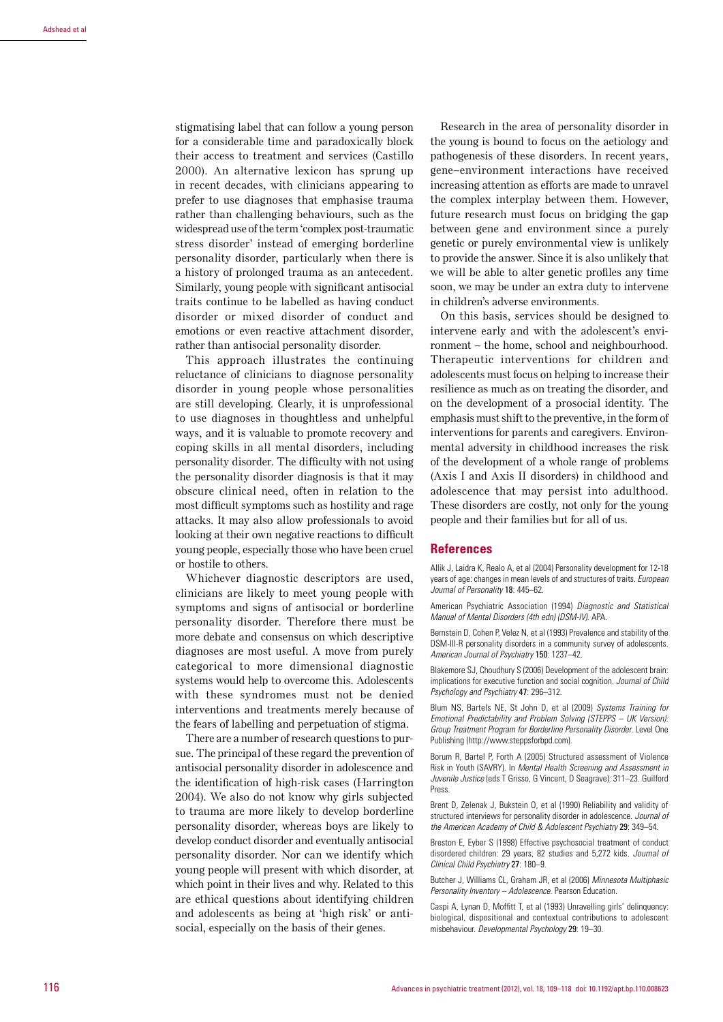stigmatising label that can follow a young person for a considerable time and paradoxically block their access to treatment and services (Castillo 2000). An alternative lexicon has sprung up in recent decades, with clinicians appearing to prefer to use diagnoses that emphasise trauma rather than challenging behaviours, such as the widespread use of the term 'complex post-traumatic stress disorder' instead of emerging borderline personality disorder, particularly when there is a history of prolonged trauma as an antecedent. Similarly, young people with significant antisocial traits continue to be labelled as having conduct disorder or mixed disorder of conduct and emotions or even reactive attachment disorder, rather than antisocial personality disorder.

This approach illustrates the continuing reluctance of clinicians to diagnose personality disorder in young people whose personalities are still developing. Clearly, it is unprofessional to use diagnoses in thoughtless and unhelpful ways, and it is valuable to promote recovery and coping skills in all mental disorders, including personality disorder. The difficulty with not using the personality disorder diagnosis is that it may obscure clinical need, often in relation to the most difficult symptoms such as hostility and rage attacks. It may also allow professionals to avoid looking at their own negative reactions to difficult young people, especially those who have been cruel or hostile to others.

Whichever diagnostic descriptors are used, clinicians are likely to meet young people with symptoms and signs of antisocial or borderline personality disorder. Therefore there must be more debate and consensus on which descriptive diagnoses are most useful. A move from purely categorical to more dimensional diagnostic systems would help to overcome this. Adolescents with these syndromes must not be denied interventions and treatments merely because of the fears of labelling and perpetuation of stigma.

There are a number of research questions to pursue. The principal of these regard the prevention of antisocial personality disorder in adolescence and the identification of high-risk cases (Harrington 2004). We also do not know why girls subjected to trauma are more likely to develop borderline personality disorder, whereas boys are likely to develop conduct disorder and eventually antisocial personality disorder. Nor can we identify which young people will present with which disorder, at which point in their lives and why. Related to this are ethical questions about identifying children and adolescents as being at 'high risk' or antisocial, especially on the basis of their genes.

Research in the area of personality disorder in the young is bound to focus on the aetiology and pathogenesis of these disorders. In recent years, gene–environment interactions have received increasing attention as efforts are made to unravel the complex interplay between them. However, future research must focus on bridging the gap between gene and environment since a purely genetic or purely environmental view is unlikely to provide the answer. Since it is also unlikely that we will be able to alter genetic profiles any time soon, we may be under an extra duty to intervene in children's adverse environments.

On this basis, services should be designed to intervene early and with the adolescent's environment – the home, school and neighbourhood. Therapeutic interventions for children and adolescents must focus on helping to increase their resilience as much as on treating the disorder, and on the development of a prosocial identity. The emphasis must shift to the preventive, in the form of interventions for parents and caregivers. Environmental adversity in childhood increases the risk of the development of a whole range of problems (Axis I and Axis II disorders) in childhood and adolescence that may persist into adulthood. These disorders are costly, not only for the young people and their families but for all of us.

#### **References**

Allik J, Laidra K, Realo A, et al (2004) Personality development for 12-18 years of age: changes in mean levels of and structures of traits. *European Journal of Personality* 18: 445–62.

American Psychiatric Association (1994) *Diagnostic and Statistical Manual of Mental Disorders (4th edn) (DSM-IV)*. APA.

Bernstein D, Cohen P, Velez N, et al (1993) Prevalence and stability of the DSM-III-R personality disorders in a community survey of adolescents. *American Journal of Psychiatry* 150: 1237–42.

Blakemore SJ, Choudhury S (2006) Development of the adolescent brain: implications for executive function and social cognition. *Journal of Child Psychology and Psychiatry* 47: 296–312.

Blum NS, Bartels NE, St John D, et al (2009) *Systems Training for Emotional Predictability and Problem Solving (STEPPS – UK Version): Group Treatment Program for Borderline Personality Disorder*. Level One Publishing (http://www.steppsforbpd.com).

Borum R, Bartel P, Forth A (2005) Structured assessment of Violence Risk in Youth (SAVRY). In *Mental Health Screening and Assessment in Juvenile Justice* (eds T Grisso, G Vincent, D Seagrave): 311–23. Guilford Press.

Brent D, Zelenak J, Bukstein O, et al (1990) Reliability and validity of structured interviews for personality disorder in adolescence. *Journal of the American Academy of Child & Adolescent Psychiatry* 29: 349–54.

Breston E, Eyber S (1998) Effective psychosocial treatment of conduct disordered children: 29 years, 82 studies and 5,272 kids. *Journal of Clinical Child Psychiatry* 27: 180–9.

Butcher J, Williams CL, Graham JR, et al (2006) *Minnesota Multiphasic Personality Inventory – Adolescence*. Pearson Education.

Caspi A, Lynan D, Moffitt T, et al (1993) Unravelling girls' delinquency: biological, dispositional and contextual contributions to adolescent misbehaviour. *Developmental Psychology* 29: 19–30.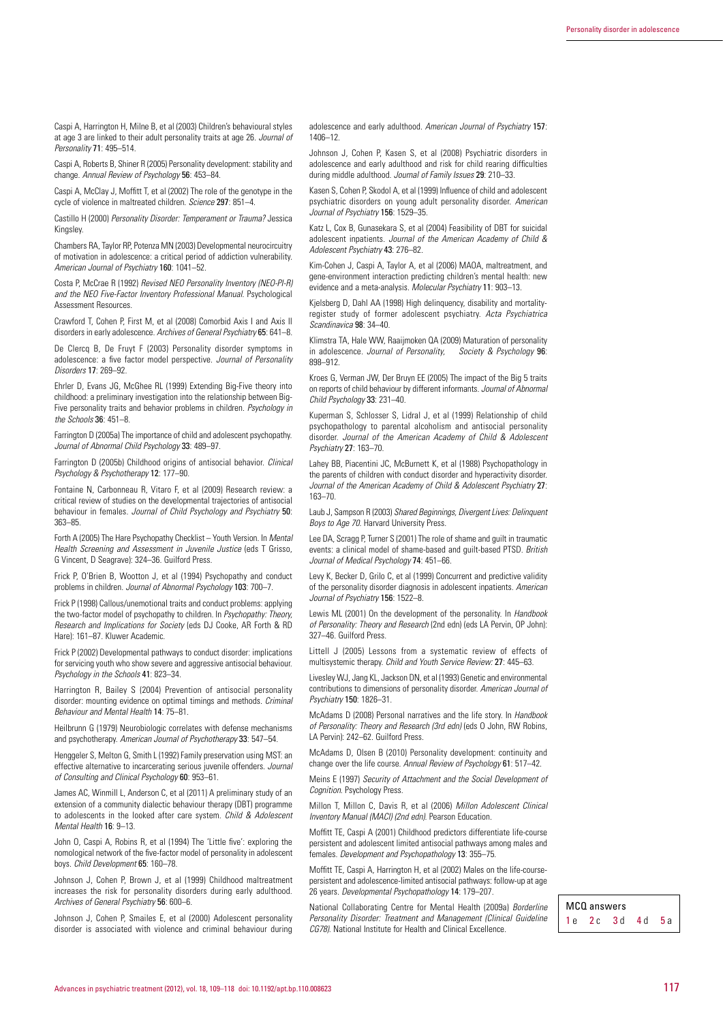Caspi A, Harrington H, Milne B, et al (2003) Children's behavioural styles at age 3 are linked to their adult personality traits at age 26. *Journal of Personality* 71: 495–514.

Caspi A, Roberts B, Shiner R (2005) Personality development: stability and change. *Annual Review of Psychology* 56: 453–84.

Caspi A, McClay J, Moffitt T, et al (2002) The role of the genotype in the cycle of violence in maltreated children. *Science* 297: 851–4.

Castillo H (2000) *Personality Disorder: Temperament or Trauma?* Jessica **Kingsley** 

Chambers RA, Taylor RP, Potenza MN (2003) Developmental neurocircuitry of motivation in adolescence: a critical period of addiction vulnerability. *American Journal of Psychiatry* 160: 1041–52.

Costa P, McCrae R (1992) *Revised NEO Personality Inventory (NEO-PI-R) and the NEO Five-Factor Inventory Professional Manual*. Psychological Assessment Resources.

Crawford T, Cohen P, First M, et al (2008) Comorbid Axis I and Axis II disorders in early adolescence. *Archives of General Psychiatry* 65: 641–8.

De Clercq B, De Fruyt F (2003) Personality disorder symptoms in adolescence: a five factor model perspective. *Journal of Personality Disorders* 17: 269–92.

Ehrler D, Evans JG, McGhee RL (1999) Extending Big-Five theory into childhood: a preliminary investigation into the relationship between Big-Five personality traits and behavior problems in children. *Psychology in the Schools* 36: 451–8.

Farrington D (2005a) The importance of child and adolescent psychopathy. *Journal of Abnormal Child Psychology* 33: 489–97.

Farrington D (2005b) Childhood origins of antisocial behavior. *Clinical Psychology & Psychotherapy* 12: 177–90.

Fontaine N, Carbonneau R, Vitaro F, et al (2009) Research review: a critical review of studies on the developmental trajectories of antisocial behaviour in females. *Journal of Child Psychology and Psychiatry* 50: 363–85.

Forth A (2005) The Hare Psychopathy Checklist – Youth Version. In *Mental Health Screening and Assessment in Juvenile Justice (eds T Grisso,* G Vincent, D Seagrave): 324–36. Guilford Press.

Frick P, O'Brien B, Wootton J, et al (1994) Psychopathy and conduct problems in children. *Journal of Abnormal Psychology* 103: 700–7.

Frick P (1998) Callous/unemotional traits and conduct problems: applying the two-factor model of psychopathy to children. In *Psychopathy: Theory, Research and Implications for Society* (eds DJ Cooke, AR Forth & RD Hare): 161–87. Kluwer Academic.

Frick P (2002) Developmental pathways to conduct disorder: implications for servicing youth who show severe and aggressive antisocial behaviour. *Psychology in the Schools* 41: 823–34.

Harrington R, Bailey S (2004) Prevention of antisocial personality disorder: mounting evidence on optimal timings and methods. *Criminal Behaviour and Mental Health* 14: 75–81.

Heilbrunn G (1979) Neurobiologic correlates with defense mechanisms and psychotherapy. *American Journal of Psychotherapy* 33: 547–54.

Henggeler S, Melton G, Smith L (1992) Family preservation using MST: an effective alternative to incarcerating serious juvenile offenders. *Journal of Consulting and Clinical Psychology* 60: 953–61.

James AC, Winmill L, Anderson C, et al (2011) A preliminary study of an extension of a community dialectic behaviour therapy (DBT) programme to adolescents in the looked after care system. *Child & Adolescent Mental Health* 16: 9–13.

John O, Caspi A, Robins R, et al (1994) The 'Little five': exploring the nomological network of the five-factor model of personality in adolescent boys. *Child Development* 65: 160–78.

Johnson J, Cohen P, Brown J, et al (1999) Childhood maltreatment increases the risk for personality disorders during early adulthood. *Archives of General Psychiatry* 56: 600–6.

Johnson J, Cohen P, Smailes E, et al (2000) Adolescent personality disorder is associated with violence and criminal behaviour during adolescence and early adulthood. *American Journal of Psychiatry* 157: 1406–12.

Johnson J, Cohen P, Kasen S, et al (2008) Psychiatric disorders in adolescence and early adulthood and risk for child rearing difficulties during middle adulthood. *Journal of Family Issues* 29: 210–33.

Kasen S, Cohen P, Skodol A, et al (1999) Influence of child and adolescent psychiatric disorders on young adult personality disorder. *American Journal of Psychiatry* 156: 1529–35.

Katz L, Cox B, Gunasekara S, et al (2004) Feasibility of DBT for suicidal adolescent inpatients. *Journal of the American Academy of Child & Adolescent Psychiatry* 43: 276–82.

Kim-Cohen J, Caspi A, Taylor A, et al (2006) MAOA, maltreatment, and gene-environment interaction predicting children's mental health: new evidence and a meta-analysis. *Molecular Psychiatry* 11: 903–13.

Kjelsberg D, Dahl AA (1998) High delinquency, disability and mortalityregister study of former adolescent psychiatry. *Acta Psychiatrica Scandinavica* 98: 34–40.

Klimstra TA, Hale WW, Raaijmoken QA (2009) Maturation of personality in adolescence. *Journal of Personality, Society & Psychology* 96: 898–912.

Kroes G, Verman JW, Der Bruyn EE (2005) The impact of the Big 5 traits on reports of child behaviour by different informants. *Journal of Abnormal Child Psychology* 33: 231–40.

Kuperman S, Schlosser S, Lidral J, et al (1999) Relationship of child psychopathology to parental alcoholism and antisocial personality disorder. *Journal of the American Academy of Child & Adolescent Psychiatry* 27: 163–70.

Lahey BB, Piacentini JC, McBurnett K, et al (1988) Psychopathology in the parents of children with conduct disorder and hyperactivity disorder. *Journal of the American Academy of Child & Adolescent Psychiatry* 27: 163–70.

Laub J, Sampson R (2003) *Shared Beginnings, Divergent Lives: Delinquent Boys to Age 70*. Harvard University Press.

Lee DA, Scragg P, Turner S (2001) The role of shame and guilt in traumatic events: a clinical model of shame-based and guilt-based PTSD. *British Journal of Medical Psychology* 74: 451–66.

Levy K, Becker D, Grilo C, et al (1999) Concurrent and predictive validity of the personality disorder diagnosis in adolescent inpatients. *American Journal of Psychiatry* 156: 1522–8.

Lewis ML (2001) On the development of the personality. In *Handbook of Personality: Theory and Research* (2nd edn) (eds LA Pervin, OP John): 327–46. Guilford Press.

Littell J (2005) Lessons from a systematic review of effects of multisystemic therapy. *Child and Youth Service Review:* 27: 445–63.

Livesley WJ, Jang KL, Jackson DN, et al (1993) Genetic and environmental contributions to dimensions of personality disorder. *American Journal of Psychiatry* 150: 1826–31.

McAdams D (2008) Personal narratives and the life story. In *Handbook of Personality: Theory and Research (3rd edn)* (eds O John, RW Robins, LA Pervin): 242–62. Guilford Press.

McAdams D, Olsen B (2010) Personality development: continuity and change over the life course. *Annual Review of Psychology* 61: 517–42.

Meins E (1997) *Security of Attachment and the Social Development of Cognition*. Psychology Press.

Millon T, Millon C, Davis R, et al (2006) *Millon Adolescent Clinical Inventory Manual (MACI) (2nd edn)*. Pearson Education.

Moffitt TE, Caspi A (2001) Childhood predictors differentiate life-course persistent and adolescent limited antisocial pathways among males and females. *Development and Psychopathology* 13: 355–75.

Moffitt TE, Caspi A, Harrington H, et al (2002) Males on the life-coursepersistent and adolescence-limited antisocial pathways: follow-up at age 26 years. *Developmental Psychopathology* 14: 179–207.

National Collaborating Centre for Mental Health (2009a) *Borderline Personality Disorder: Treatment and Management (Clinical Guideline CG78)*. National Institute for Health and Clinical Excellence.

| MCQ answers |  |             |  |       |  |  |
|-------------|--|-------------|--|-------|--|--|
|             |  | 1e 2c 3d 4d |  | - 5 а |  |  |